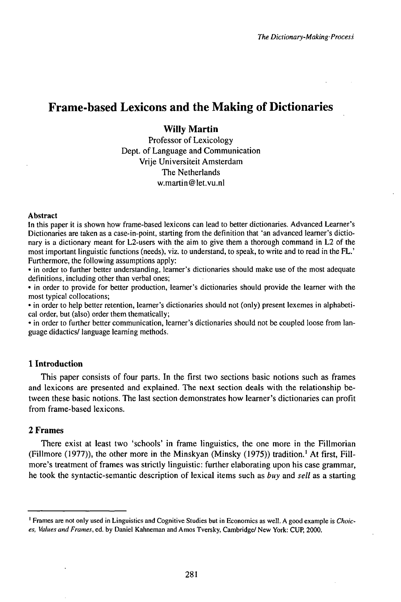# Frame-based Lexicons and the Making of Dictionaries

## **WiIIy Martin**

Professor of Lexicology Dept. of Language and Communication Vrije Universiteit Amsterdam The Netherlands w.martin@let.vu.nl

#### Abstract

In this paper it is shown how frame-based lexicons can lead to better dictionaries. Advanced Learner's Dictionaries are taken as a case-in-point, starting from the definition that 'an advanced learner's dictionary is a dictionary meant for L2-users with the aim to give them a thorough command in L2 of the most important linguistic functions (needs), viz. to understand, to speak, to write and to read in the FL.' Furthermore, the following assumptions apply:

• in order to further better understanding, learner's dictionaries should make use of the most adequate definitions, including other than verbal ones;

• in order to provide for better production, learner's dictionaries should provide the learner with the most typical collocations;

• in order to help better retention, learner's dictionaries should not (only) present lexemes in alphabetical order, but (also) order them thematically;

• in order to further better communication, learner's dictionaries should not be coupled loose from language didactics/ language learning methods.

### **1 Introduction**

This paper consists of four parts. In the first two sections basic notions such as frames and lexicons are presented and explained. The next section deals with the relationship between these basic notions. The last section demonstrates how learner's dictionaries can profit from frame-based lexicons.

#### **2 Frames**

There exist at least two 'schools' in frame linguistics, the one more in the Fillmorian (Fillmore (1977)), the other more in the Minskyan (Minsky (1975)) tradition.<sup>1</sup> At first, Fillmore's treatment of frames was strictly linguistic: further elaborating upon his case grammar, he took the syntactic-semantic description of lexical items such as *buy* and *sell* as a starting

<sup>1</sup> Frames are not only used in Linguistics and Cognitive Studies but in Economics as well. A good example is *Choices, Values and Frames,* ed. by Daniel Kahneman and Amos Tversky, Cambridge/ New York: CUP, 2000.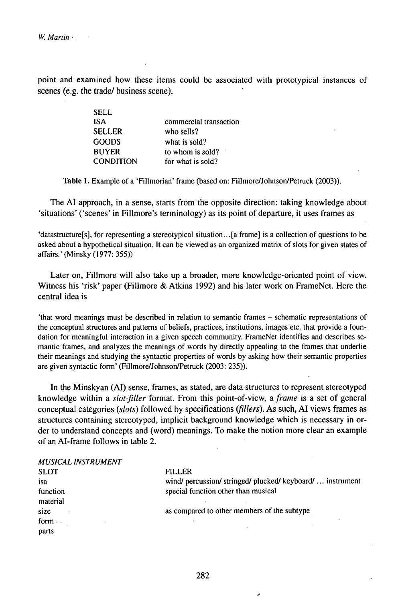point and examined how these items could be associated with prototypical instances of scenes (e.g. the trade/ business scene).

| SELL             |                        |
|------------------|------------------------|
| <b>ISA</b>       | commercial transaction |
| <b>SELLER</b>    | who sells?             |
| <b>GOODS</b>     | what is sold?          |
| <b>BUYER</b>     | to whom is sold?       |
| <b>CONDITION</b> | for what is sold?      |
|                  |                        |

Table 1. Example of a 'Fillmorian' frame (based on: Fillmore/Johnson/Petruck (2003)).

The AI approach, in a sense, starts from the opposite direction: taking knowledge about 'situations' ('scenes' in Fillmore's terminology) as its point of departure, it uses frames as

'datastructure[s], for representing a stereotypical situation...[a frame] is a collection of questions to be asked about a hypothetical situation. It can be viewed as an organized matrix of slots for given states of affairs.' (Minsky (1977: 355))

Later on, Fillmore will also take up a broader, more knowledge-oriented point of view. Witness his 'risk' paper (Fillmore & Atkins 1992) and his later work on FrameNet. Here the central idea is

'that word meanings must be described in relation to semantic frames - schematic representations of the conceptual structures and patterns of beliefs, practices, institutions, images etc. that provide a foundation for meaningful interaction in a given speech community. FrameNet identifies and describes semantic frames, and analyzes the meanings of words by directly appealing to the frames that underlie their meanings and studying the syntactic properties of words by asking how their semantic properties are given syntactic form' (Fillmore/Johnson/Petruck (2003: 235)).

In the Minskyan (AI) sense, frames, as stated, are data structures to represent stereotyped knowledge within a *slot-filler* format. From this point-of-view, a *frame* is a set of general conceptual categories *(slots)* followed by specifications *tflllers).* As such, AI views frames as structures containing stereotyped, implicit background knowledge which is necessary in order to understand concepts and (word) meanings. To make the notion more clear an example of an AI-frame follows in table 2.

| <b>MUSICAL INSTRUMENT</b> |                                                            |
|---------------------------|------------------------------------------------------------|
| <b>SLOT</b>               | <b>FILLER</b>                                              |
| isa                       | wind/ percussion/ stringed/ plucked/ keyboard/  instrument |
| function                  | special function other than musical                        |
| material                  |                                                            |
| size                      | as compared to other members of the subtype                |
| form $\ldots$             |                                                            |
| parts                     |                                                            |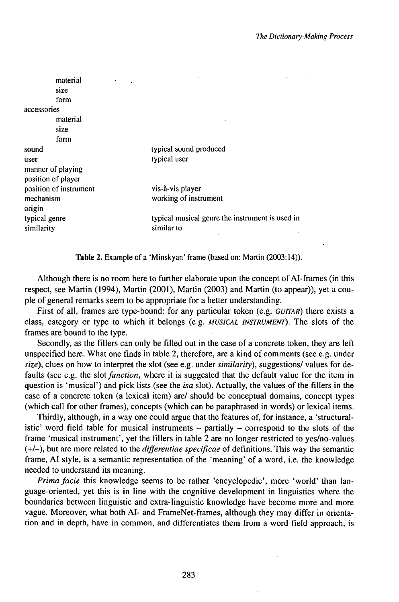|                    | material<br>size<br>form |                                                 |
|--------------------|--------------------------|-------------------------------------------------|
| accessories        |                          |                                                 |
|                    | material                 |                                                 |
|                    | size                     |                                                 |
|                    | form                     |                                                 |
| sound              |                          | typical sound produced                          |
| user               |                          | typical user                                    |
| manner of playing  |                          |                                                 |
| position of player |                          |                                                 |
|                    | position of instrument   | vis-à-vis player                                |
| mechanism          |                          | working of instrument                           |
| origin             |                          |                                                 |
| typical genre      |                          | typical musical genre the instrument is used in |
| similarity         |                          | similar to                                      |

Table 2. Example of a 'Minskyan' frame (based on: Martin (2003:14)).

Although there is no room here to further elaborate upon the concept of AI-frames (in this respect, see Martin (1994), Martin (2001), Martin (2003) and Martin (to appear)), yet a couple of general remarks seem to be appropriate for a better understanding.

First of all, frames are type-bound: for any particular token (e.g. *GUľTAR)* there exists a class, category or type to which it belongs (e.g. *MUSICAL INSTRUMENT).* The slots of the frames are bound to the type.

Secondly, as the fillers can only be filled out in the case of a concrete token, they are left unspecified here. What one finds in table 2, therefore, are a kind of comments (see e.g. under *size),* clues on how to interpret the slot (see e.g. under *similarity),* suggestions/ values for defaults (see e.g. the slot *function*, where it is suggested that the default value for the item in question is 'musical') and pick lists (see the *isa* slot). Actually, the values of the fillers in the case of a concrete token (a lexical item) are/ should be conceptual domains, concept types (which call for other frames), concepts (which can be paraphrased in words) or lexical items.

Thirdly, although, in a way one could argue that the features of, for instance, a 'structuralistic' word field table for musical instruments  $-$  partially  $-$  correspond to the slots of the frame 'musical instrument', yet the fillers in table 2 are no longer restricted to yes/no-values (+/-), but are more related to the *differentiae specificae* of definitions. This way the semantic frame, AI style, is a semantic representation of the 'meaning' of a word, i.e. the knowledge needed to understand its meaning.

*Primafacie* this knowledge seems to be rather 'encyclopedic', more 'world' than language-oriented, yet this is in line with the cognitive development in linguistics where the boundaries between linguistic and extra-linguistic knowledge have become more and more vague. Moreover, what both AI- and FrameNet-frames, although they may differ in orientation and in depth, have in common, and differentiates them from a word field approach,'is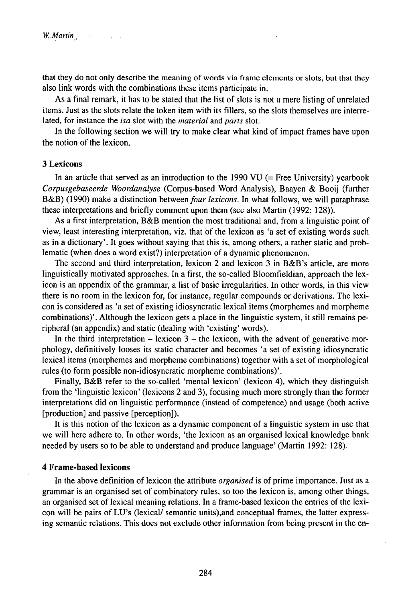that they do not only describe the meaning of words via frame elements or slots, but that they also link words with the combinations these items participate in.

As a final remark, it has to be stated that the list of slots is not a mere listing of unrelated items. Just as the slots relate the token item with its fillers, so the slots themselves are interrelated, for instance the *isa* slot with the *material* and *parts* slot.

In the following section we will try to make clear what kind of impact frames have upon the notion of the lexicon.

#### 3 **Lexicons**

In an article that served as an introduction to the 1990 VU (= Free University) yearbook *Corpusgebaseerde Woordanalyse* (Corpus-based Word Analysis), Baayen & Booij (further B&B) (1990) make a distinction between *four lexicons*. In what follows, we will paraphrase these interpretations and briefly comment upon them (see also Martin (1992: 128)).

As a first interpretation, B&B mention the most traditional and, from a linguistic point of view, least interesting interpretation, viz. that of the lexicon as 'a set of existing words such as in a dictionary'. It goes without saying that this is, among others, a rather static and problematic (when does a word exist?) interpretation of a dynamic phenomenon.

The second and third interpretation, lexicon 2 and lexicon 3 in B&B's article, are more linguistically motivated approaches. In a first, the so-called Bloomfieldian, approach the lexicon is an appendix of the grammar, a list of basic irregularities. In other words, in this view there is no room in the lexicon for, for instance, regular compounds or derivations. The lexicon is considered as 'a set of existing idiosyncratic lexical items (morphemes and morpheme combinations)'. Although the lexicon gets a place in the linguistic system, it still remains peripheral (an appendix) and static (dealing with 'existing' words).

In the third interpretation  $-$  lexicon  $3 -$  the lexicon, with the advent of generative morphology, definitively looses its static character and becomes 'a set of existing idiosyncratic lexical items (morphemes and morpheme combinations) together with a set of morphological rules (to form possjble non-idiosyncratic morpheme combinations)'.

Finally, B&B refer to the so-called 'mental lexicon' (lexicon 4), which they distinguish from the 'linguistic lexicon' (lexicons 2 and 3), focusing much more strongly than the former interpretations did on linguistic performance (instead of competence) and usage (both active [production] and passive [perception]).

It is this notion of the lexicon as a dynamic component of a linguistic system in use that we will here adhere to. In other words, 'the lexicon as an organised lexical knowledge bank needed by users so to be able to understand and produce language' (Martin 1992: 128).

#### **4 Frame-based lexicons**

In the above definition of lexicon the attribute *organised* is of prime importance. Just as a grammar is an organised set of combinatory rules, so too the lexicon is, among other things, an organised set of lexical meaning relations. In a frame-based lexicon the entries of the lexicon will be pairs of LU's (lexical/ semantic units),and conceptual frames, the latter expressing semantic relations. This does not exclude other information from being present in the en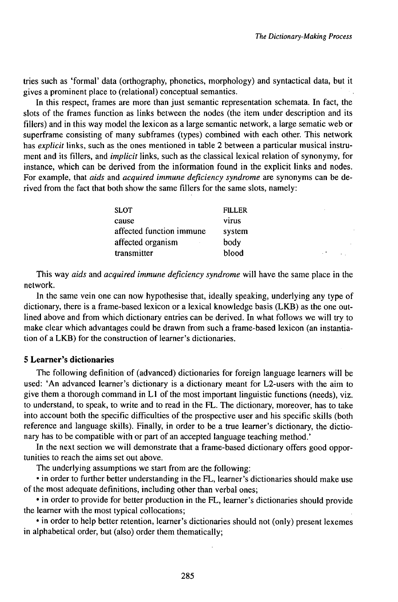tries such as 'formal' data (orthography, phonetics, morphology) and syntactical data, but it gives a prominent place to (relational) conceptual semantics.

In this respect, frames are more than just semantic representation schemata. In fact, the slots of the frames function as links between the nodes (the item under description and its fillers) and in this way model the lexicon as a large semantic network, a large sematic web or superframe consisting of many subframes (types) combined with each other. This network has *explicit* links, such as the ones mentioned in table 2 between a particular musical instrument and its fillers, and *implicit* links, such as the classical lexical relation of synonymy, for instance, which can be derived from the information found in the explicit links and nodes. For example, that *aids* and *acquired immune deficiency syndrome* are synonyms can be derived from the fact that both show the same fillers for the same slots, namely:

| <b>FILLER</b> |
|---------------|
| virus         |
| system        |
| body          |
| blood         |
|               |

This way *aids* and *acquired immune deficiency syndrome* will have the same place in the network.

In the same vein one can now hypothesise that, ideally speaking, underlying any type of dictionary, there is a frame-based lexicon or a lexical knowledge basis (LKB) as the one outlined above and from which dictionary entries can be derived. In what follows we will try to make clear which advantages could be drawn from such a frame-based lexicon (an instantiation of a LKB) for the construction of learner's dictionaries.

#### **5 Learner's dictionaries**

The following definition of (advanced) dictionaries for foreign language learners will be used: 'An advanced learner's dictionary is a dictionary meant for L2-users with the aim to give them a thorough command in  $L1$  of the most important linguistic functions (needs), viz. to understand, to speak, to write and to read in the FL. The dictionary, moreover, has to take into account both the specific difficulties of the prospective user and his specific skills (both reference and language skills). Finally, in order to be a true learner's dictionary, the dictionary has to be compatible with or part of an accepted language teaching method.'

In the next section we will demonstrate that a frame-based dictionary offers good opportunities to reach the aims set out above.

The underlying assumptions we start from are the following:

• in order to further better understanding in the FL, learner's dictionaries should make use of the most adequate definitions, including other than verbal ones;

• in order to provide for better production in the FL, learner's dictionaries should provide the learner with the most typical collocations;

• in order to help better retention, learner's dictionaries should not (only) present lexemes in alphabetical order, but (also) order them thematically;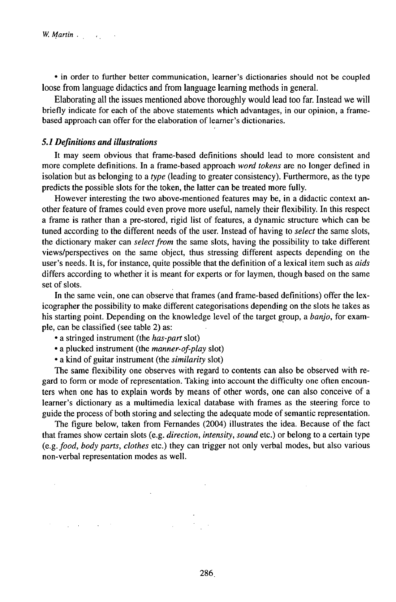• in order to further better communication, learner's dictionaries should not be coupled loose from language didactics and from language learning methods in general.

Elaborating all the issues mentioned above thoroughly would lead too far. Instead we will briefly indicate for each of the above statements which advantages, in our opinion, a framebased approach can offer for the elaboration of learner's dictionaries.

#### *5.1 Definitions and illustrations*

It may seem obvious that frame-based definitions should lead to more consistent and more complete definitions. In a frame-based approach *word tokens* are no longer defined in isolation but as belonging to a *type* (leading to greater consistency). Furthermore, as the type predicts the possible slots for the token, the latter can be treated more fully.

However interesting the two above-mentioned features may be, in a didactic context another feature of frames could even prove more useful, namely their flexibility. In this respect a frame is rather than a pre-stored, rigid list of features, a dynamic structure which can be tuned according to the different needs of the user. Instead of having to *select* the same slots, the dictionary maker can *select from* the same slots, having the possibility to take different views/perspectives on the same object, thus stressing different aspects depending on the user's needs. It is, for instance, quite possible that the definition of a lexical item such as *aids* differs according to whether it is meant for experts or for laymen, though based on the same set of slots.

In the same vein, one can observe that frames (and frame-based definitions) offer the lexicographer the possibility to make different categorisations depending on the slots he takes as his starting point. Depending on the knowledge level of the target group, a *banjo,* for example, can be classified (see table 2) as:

• a stringed instrument (the *has-part* slot)

 $\mathcal{L}^{\mathcal{L}}(\mathcal{L}^{\mathcal{L}})$  and  $\mathcal{L}^{\mathcal{L}}(\mathcal{L}^{\mathcal{L}})$  . The contribution of  $\mathcal{L}^{\mathcal{L}}(\mathcal{L}^{\mathcal{L}})$ 

- a plucked instrument (the *manner-of-play* slot)
- a kind of guitar instrument (the *similarity* slot)

The same flexibility one observes with regard to contents can also be observed with regard to form or mode of representation. Taking into account the difficulty one often encounters when one has to explain words by means of other words, one can also conceive of a learner's dictionary as a multimedia lexical database with frames as the steering force to guide the process of both storing and selecting the adequate mode of semantic representation.

The figure below, taken from Fernandes (2004) illustrates the idea. Because of the fact that frames show certain slots (e.g. *direction, intensity, sound* etc.) or belong to a certain type (e.g. *food, body parts, clothes* etc.) they can trigger not only verbal modes, but also various non-verbal representation modes as well.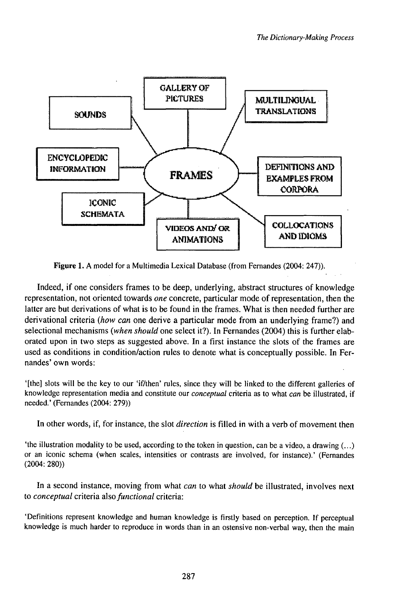

Figure 1. A model for a Multimedia Lexical Database (from Fernandes (2004: 247)).

Indeed, if one considers frames to be deep, underlying, abstract structures of knowledge representation, not oriented towards *one* concrete, particular mode ofrepresentation, then the latter are but derivations of what is to be found in the frames. What is then needed further are derivational criteria *(how can* one derive a particular mode from an underlying frame?) and selectional mechanisms *(when should* one select it?). In Fernandes (2004) this is further elaborated upon in two steps as suggested above. In a first instance the slots of the frames are used as conditions in condition/action rules to denote what is conceptually possible. In Fernandes' own words:

'[the] slots will be the key to our 'if/then' rules, since they will be linked to the different galleries of knowledge representation media and constitute our *conceptual* criteria as to what *can* be illustrated, if needed.' (Fernandes (2004: 279))

In other words, if, for instance, the slot *direction* is filled in with a verb of movement then

'the illustration modality to be used, according to the token in question, can be a video, a drawing (...) or an iconic schema (when scales, intensities or contrasts are involved, for instance).' (Fernandes (2004: 280))

In a second instance, moving from what *can* to what *should* be illustrated, involves next to *conceptual* criteria *a\sofunctional* criteria:

'Definitions represent knowledge and human knowledge is firstly based on perception. If perceptual knowledge is much harder to reproduce in words than in an ostensive non-verbal way, then the main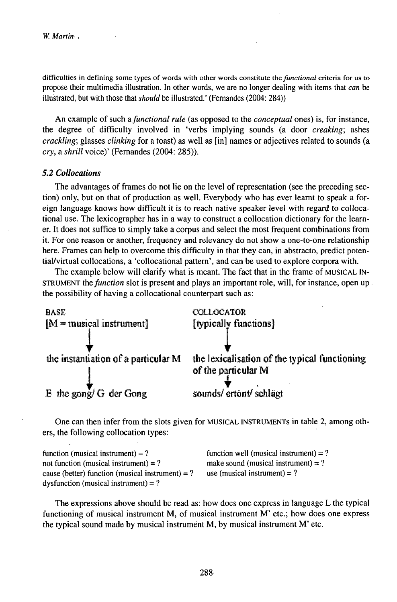difficulties in defining some types of words with other words constitute *thefunctional* criteria for us to propose their multimedia illustration. In other words, we are no longer dealing with items that *can* be illustrated, but with those that *should* be illustrated.' (Fernandes (2004: 284))

An example of such *afunctional rule* (as opposed to the *conceptual* ones) is, for instance, the degree of difficulty involved in 'verbs implying sounds (a door *creaking;* ashes *crackling;* glasses *clinking* for a toast) as well as [in] names or adjectives related to sounds (a *cry,* a *shrill* voice)' (Fernandes (2004: 285)).

#### *5.2 Collocations*

The advantages of frames do not lie on the level of representation (see the preceding section) only, but on that of production as well. Everybody who has ever learnt to speak a foreign language knows how difficult it is to reach native speaker level with regard to collocational use. The lexicographer has in a way to construct a collocation dictionary for the learner. It does not suffice to simply take a corpus and select the most frequent combinations from it. For one reason or another, frequency and relevancy do not show a one-to-one relationship here. Frames can help to overcome this difficulty in that they can, in abstracto, predict potential/virtual collocations, a 'collocational pattern', and can be used to explore corpora with.

The example below will clarify what is meant. The fact that in the frame of MUSICAL IN-STRUMENT *thefunction* slot is present and plays an important role, will, for instance, open up the possibility of having a collocational counterpart such as:



One can then infer from the slots given for MUSICAL INSTRUMENTS in table 2, among others, the following collocation types:

| function (musical instrument) = $?$                | function well (musical instrument) = $?$ |
|----------------------------------------------------|------------------------------------------|
| not function (musical instrument) = $?$            | make sound (musical instrument) = $?$    |
| cause (better) function (musical instrument) = $?$ | use (musical instrument) = $?$           |
| dysfunction (musical instrument) = $?$             |                                          |

The expressions above should be read as: how does one express in language L the typical functioning of musical instrument M, of musical instrument M' etc.; how does one express the typical sound made by musical instrument M, by musical instrument M' etc.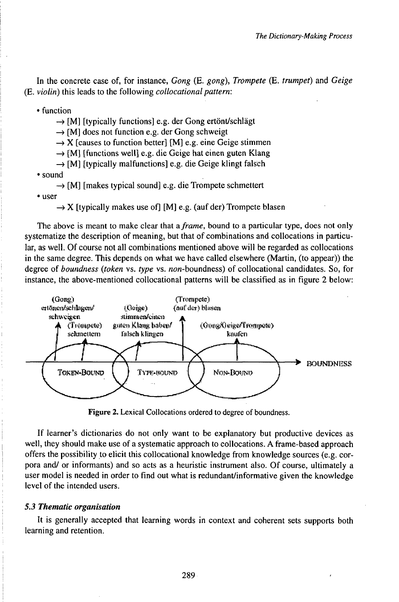In the concrete case of, for instance, *Gong* (E. *gong), Trompete* (E. *trumpet)* and *Geige* (E. *violin)* this leads to the following *collocationalpattern:*

• function

 $\rightarrow$  [M] [typically functions] e.g. der Gong ertönt/schlägt

 $\rightarrow$  [M] does not function e.g. der Gong schweigt

 $\rightarrow$  X [causes to function better] [M] e.g. eine Geige stimmen

 $\rightarrow$  [M] [functions well] e.g. die Geige hat einen guten Klang

 $\rightarrow$  [M] [typically malfunctions] e.g. die Geige klingt falsch

• sound

 $\rightarrow$  [M] [makes typical sound] e.g. die Trompete schmettert

• user

 $\rightarrow$  X [typically makes use of] [M] e.g. (auf der) Trompete blasen

The above is meant to make clear that *aframe,* bound to a particular type, does not only systematize the description of meaning, but that of combinations and collocations in particular, as well. Of course not all combinations mentioned above will be regarded as collocations in the same degree. This depends on what we have called elsewhere (Martin, (to appear)) the degree of *boundness (token* vs. *type* vs. non-boundness) of collocational candidates. So, for instance, the above-mentioned collocational patterns will be classified as in figure 2 below:



Figure 2. Lexical Collocations ordered to degree of boundness.

If learner's dictionaries do not only want to be explanatory but productive devices as well, they should make use of a systematic approach to collocations. A frame-based approach offers the possibility to elicit this collocational knowledge from knowledge sources (e.g. corpora and/ or informants) and so acts as a heuristic instrument also. Of course, ultimately a user model is needed in order to find out what is redundant/informative given the knowledge level of the intended users.

#### *5.3 Thematic organisation*

It is generally accepted that learning words in context and coherent sets supports both learning and retention.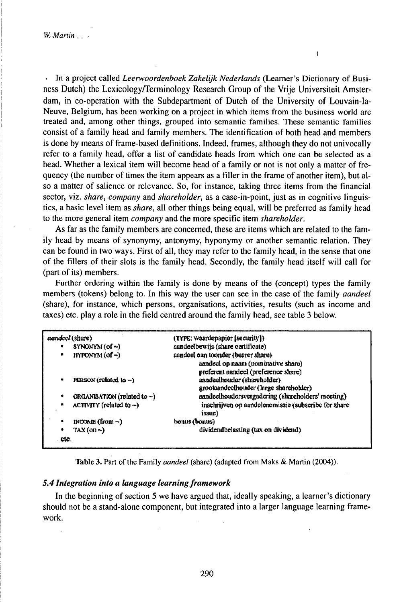• In a project called *Leerwoordenboek Zakelijk Nederlands* (Learner's Dictionary of Business Dutch) the Lexicology/Terminology Research Group of the Vrije Universiteit Amsterdam, in co-operation with the Subdepartment of Dutch of the University of Louvain-la-Neuve, Belgium, has been working on a project in which items from the business world are treated and, among other things, grouped into semantic families. These semantic families consist of a family head and family members. The identification of both head and members is done by means offrame-based definitions. Indeed, frames, although they do not univocally refer to a family head, offer a list of candidate heads from which one can be selected as a head. Whether a lexical item will become head of a family or not is not only a matter of frequency (the number of times the item appears as a filler in the frame of another item), but also a matter of salience or relevance. So, for instance, taking three items from the financial sector, viz. *share, company* and *shareholder,* as a case-in-point, just as in cognitive linguistics, a basic level item as *share,* all other things being equal, will be preferred as family head to the more general item *company* and the more specific item *shareholder.*

 $\mathbf{I}$ 

As far as the family members are concerned, these are items which are related to the family head by means of synonymy, antonymy, hyponymy or another semantic relation. They can be found in two ways. First of all, they may refer to the family head, in the sense that one of the fillers of their slots is the family head. Secondly, the family head itself will call for (part of its) members.

Further ordering within the family is done by means of the (concept) types the family members (tokens) belong to. In this way the user can see in the case of the family *aandeel* (share), for instance, which persons, organisations, activities, results (such as income and taxes) etc. play a role in the field centred around the family head, see table 3 below.

| aandeel (share)                              | (TYPE: waardepapier [secarity])                               |
|----------------------------------------------|---------------------------------------------------------------|
| SYNONYM (of~)<br>٠                           | aandeelbewijs (share certificate)                             |
| $HNPONYM$ (of $\rightarrow$ )<br>٠           | aandeel aan toomder (bearer share)                            |
|                                              | asndeel op naam (nominative share)                            |
|                                              | preferent aundeel (preference share)                          |
| PERSON (ralated to $-$ )<br>۰                | asndeelhouder (shareholder)                                   |
|                                              | grootsandeelhouder (large shareholder)                        |
| ORGANISATION (related to $\sim$ )<br>۰       | aandeelhoudersvergadering (shareholders' meeting)             |
| ACTIVITY (related to $-$ )<br>$\blacksquare$ | inschrijven op aandelenemissie (subscribe for share<br>issue) |
| $DQQQQE$ (from $\neg$ )<br>٠                 | bonus (bonus)                                                 |
| $TAX$ (on $\sim$ )<br>۰                      | dividendbelasting (tax on dividend)                           |
| . etc.                                       |                                                               |

Table 3. Part of the Family *aandeel* (share) (adapted from Maks & Martin (2004)).

#### *5.4 Integration into a Utnguage learningframework*

In the beginning of section 5 we have argued that, ideally speaking, a learner's dictionary should not be a stand-alone component, but integrated into a larger language learning framework.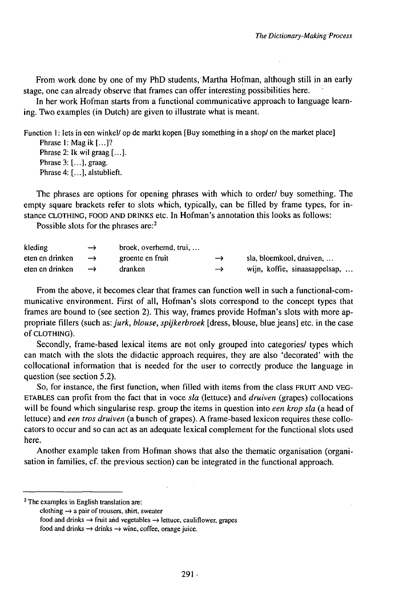From work done by one of my PhD students, Martha Hofman, although still in an early stage, one can already observe that frames can offer interesting possibilities here.

In her work Hofman starts from a functional communicative approach to language learning. Two examples (in Dutch) are given to illustrate what is meant.

Function 1: lets in een winkel/ op de markt kopen [Buy something in a shop/ on the market place] Phrase 1: Mag ik [...]? Phrase 2: Ik wil graag [...]. Phrase 3: *[...],* graag. Phrase4: [...], alstublieft.

The phrases are options for opening phrases with which to order/ buy something. The empty square brackets refer to slots which, typically, can be filled by frame types, for instance CLOTHING, FOOD AND DRINKS etc. In Hofman's annotation this looks as follows:

Possible slots for the phrases are:<sup>2</sup>

| kleding         | $\rightarrow$ | broek, overhemd, trui, |               |                               |
|-----------------|---------------|------------------------|---------------|-------------------------------|
| eten en drinken | $\rightarrow$ | groente en fruit       | $\rightarrow$ | $s$ la, bloemkool, druiven,   |
| eten en drinken | $\rightarrow$ | dranken                | $\rightarrow$ | wijn, koffie, sinaasappelsap, |

From the above, it becomes clear that frames can function well in such a functional-communicative environment. First of all, Hofman's slots correspond to the concept types that frames are bound to (see section 2). This way, frames provide Hofman's slots with more appropriate fillers (such *as:jurk, blouse, spijkerbroek* [dress, blouse, bluejeans] etc. in the case of CLOTHING).

Secondly, frame-based lexical items are not only grouped into categories/ types which can match with the slots the didactic approach requires, they are also 'decorated' with the collocational information that is needed for the user to correctly produce the language in question (see section 5.2).

So, for instance, the first function, when filled with items from the class FRUIT AND VEG-ETABLES can profit from the fact that in voce *sla* (lettuce) and *druiven* (grapes) collocations will be found which singularise resp. group the items in question into *een krop sla* (a head of lettuce) and *een tros druiven* (a bunch of grapes). A frame-based lexicon requires these collocators to occur and so can act as an adequate lexical complement for the functional slots used here.

Another example taken from Hofman shows that also the thematic organisation (organisation in families, cf. the previous section) can be integrated in the functional approach.

<sup>2</sup> The examples in English translation are:

clothing  $\rightarrow$  a pair of trousers, shirt, sweater

food and drinks  $\rightarrow$  fruit and vegetables  $\rightarrow$  lettuce, cauliflower, grapes

food and drinks  $\rightarrow$  drinks  $\rightarrow$  wine, coffee, orange juice.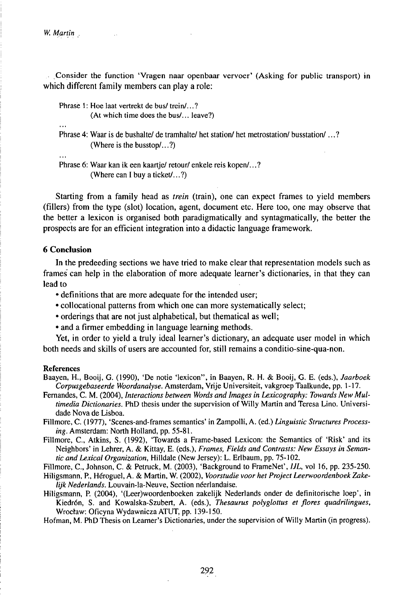*W. Martin*

Consider the function 'Vragen naar openbaar vervoer' (Asking for public transport) in which different family members can play a role:

Phrase 1: Hoe laat vertrekt de bus/ trein/...?

(At which time does the bus/... leave?)

Phrase 4: Waar is de bushalte/ de tramhalte/ het station/ het metrostation/ busstation/...? (Where is the busstop/...?)

Phrase 6: Waar kan ik een kaartie/retour/enkele reis kopen/...? (Where can I buy a ticket/...?)

Starting from a family head as *trein* (train), one can expect frames to yield members (fillers) from the type (slot) location, agent, document etc. Here too, one may observe that the better a lexicon is organised both paradigmatically and syntagmatically, the better the prospects are for an efficient integration into a didactic language framework.

#### **6 Conclusion**

In the predeeding sections we have tried to make clear that representation models such as frames can help in the elaboration of more adequate learner's dictionaries, in that they can lead to

- definitions that are more adequate for the intended user;
- collocational patterns from which one can more systematically select;
- orderings that are not just alphabetical, but thematical as well;
- and a firmer embedding in language learning methods.

Yet, in order to yield a truly ideal learner's dictionary, an adequate user model in which both needs and skills of users are accounted for, still remains a conditio-sine-qua-non.

#### References

Baayen, H., Booij, G. (1990), 'De notie 'lexicon", in Baayen, R. H. & Booij, G. E. (eds.), *Jaarboek Corpusgebaseerde Woordanalyse.* Amsterdam, Vrije Universiteit, vakgroepTaalkunde, pp. 1-17.

Fernandes, C. M. (2004), *Interactions between Words and Images in Lexicography: Towards New Multimedia Dictionaries*. PhD thesis under the supervision of Willy Martin and Teresa Lino. Universidade Nova de Lisboa.

Fillmore, C. (1977), 'Scenes-and-frames semantics' in Zampolli, A. (ed.) *Linguistic Structures Processing.* Amsterdam: North Holland, pp. 55-81.

Fillmore, C., Atkins, S. (1992), 'Towards a Frame-based Lexicon: the Semantics of 'Risk' and its Neighbors' in Lehrer, A. & Kittay, E. (eds.), *Frames, Fields and Contrasts: New Essays in Semantic and Lexical Organization,* Hilldale (New Jersey): L. Erlbaum, pp. 75-102.

Fillmore, C., Johnson, C. & Petruck, M. (2003), 'Background to FrameNet', *IJL,* vol 16, pp. 235-250.

- Hiligsmann, P., Héroguel, A. & Martin, W. (2002), *Voorstudie voor het Project Leerwoordenboek Zakelijk Nederlands.* Louvain-la-Neuve, Section néerlandaise.
- Hiligsmann, P. (2004), '(Leer)woordenboeken zakelijk Nederlands onder de definitorische loep', in Kiedrón, S. and Kowalska-Szubert, A. (eds.), *Thesaurus polyglottus et flores quadrilingues,* Wrocław: Oficyna WydawniczaATUT, pp. 139-150.

Hofman, M. PhD Thesis on Learner's Dictionaries, under the supervision of Willy Martin (in progress).